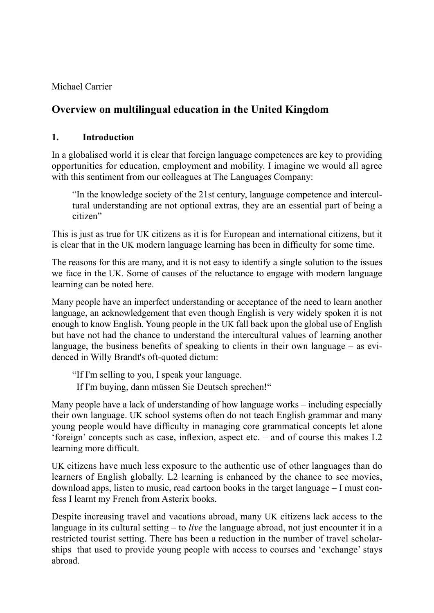Michael Carrier

# **Overview on multilingual education in the United Kingdom**

#### **1. Introduction**

In a globalised world it is clear that foreign language competences are key to providing opportunities for education, employment and mobility. I imagine we would all agree with this sentiment from our colleagues at The Languages Company:

"In the knowledge society of the 21st century, language competence and intercultural understanding are not optional extras, they are an essential part of being a citizen"

This is just as true for UK citizens as it is for European and international citizens, but it is clear that in the UK modern language learning has been in difficulty for some time.

The reasons for this are many, and it is not easy to identify a single solution to the issues we face in the UK. Some of causes of the reluctance to engage with modern language learning can be noted here.

Many people have an imperfect understanding or acceptance of the need to learn another language, an acknowledgement that even though English is very widely spoken it is not enough to know English. Young people in the UK fall back upon the global use of English but have not had the chance to understand the intercultural values of learning another language, the business benefits of speaking to clients in their own language  $-$  as evidenced in Willy Brandt's oft-quoted dictum:

"If I'm selling to you, I speak your language. If I'm buying, dann müssen Sie Deutsch sprechen!"

Many people have a lack of understanding of how language works – including especially their own language. UK school systems often do not teach English grammar and many young people would have difficulty in managing core grammatical concepts let alone 'foreign' concepts such as case, inflexion, aspect etc.  $-$  and of course this makes  $L2$ learning more difficult.

UK citizens have much less exposure to the authentic use of other languages than do learners of English globally. L2 learning is enhanced by the chance to see movies, download apps, listen to music, read cartoon books in the target language – I must confess I learnt my French from Asterix books.

Despite increasing travel and vacations abroad, many UK citizens lack access to the language in its cultural setting – to *live* the language abroad, not just encounter it in a restricted tourist setting. There has been a reduction in the number of travel scholarships that used to provide young people with access to courses and 'exchange' stays abroad.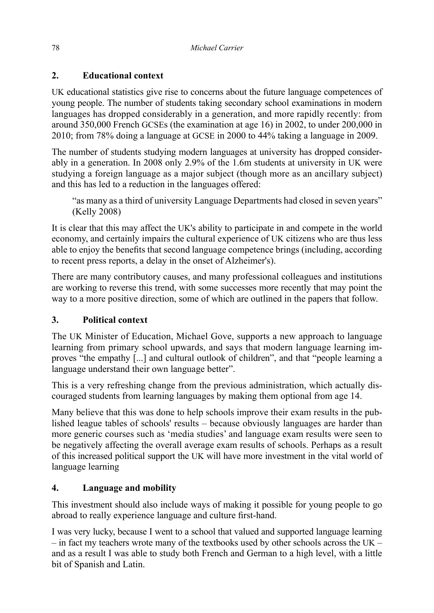# **2. Educational context**

UK educational statistics give rise to concerns about the future language competences of young people. The number of students taking secondary school examinations in modern languages has dropped considerably in a generation, and more rapidly recently: from around 350,000 French GCSEs (the examination at age 16) in 2002, to under 200,000 in 2010; from 78% doing a language at GCSE in 2000 to 44% taking a language in 2009.

The number of students studying modern languages at university has dropped considerably in a generation. In 2008 only 2.9% of the 1.6m students at university in UK were studying a foreign language as a major subject (though more as an ancillary subject) and this has led to a reduction in the languages offered:

"as many as a third of university Language Departments had closed in seven years" (Kelly 2008)

It is clear that this may affect the UK's ability to participate in and compete in the world economy, and certainly impairs the cultural experience of UK citizens who are thus less able to enjoy the benefits that second language competence brings (including, according to recent press reports, a delay in the onset of Alzheimer's).

There are many contributory causes, and many professional colleagues and institutions are working to reverse this trend, with some successes more recently that may point the way to a more positive direction, some of which are outlined in the papers that follow.

## **3. Political context**

The UK Minister of Education, Michael Gove, supports a new approach to language learning from primary school upwards, and says that modern language learning improves "the empathy [...] and cultural outlook of children", and that "people learning a language understand their own language better".

This is a very refreshing change from the previous administration, which actually discouraged students from learning languages by making them optional from age 14.

Many believe that this was done to help schools improve their exam results in the published league tables of schools' results – because obviously languages are harder than more generic courses such as 'media studies' and language exam results were seen to be negatively affecting the overall average exam results of schools. Perhaps as a result of this increased political support the UK will have more investment in the vital world of language learning

## **4. Language and mobility**

This investment should also include ways of making it possible for young people to go abroad to really experience language and culture first-hand.

I was very lucky, because I went to a school that valued and supported language learning – in fact my teachers wrote many of the textbooks used by other schools across the UK – and as a result I was able to study both French and German to a high level, with a little bit of Spanish and Latin.